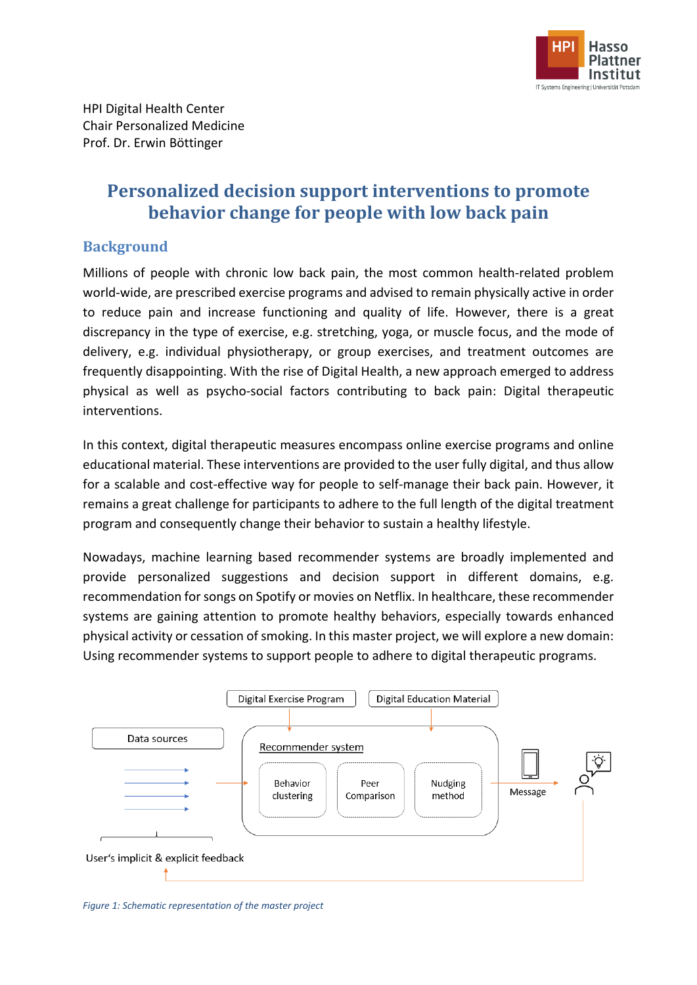

# **Personalized decision support interventions to promote behavior change for people with low back pain**

## **Background**

Millions of people with chronic low back pain, the most common health-related problem world-wide, are prescribed exercise programs and advised to remain physically active in order to reduce pain and increase functioning and quality of life. However, there is a great discrepancy in the type of exercise, e.g. stretching, yoga, or muscle focus, and the mode of delivery, e.g. individual physiotherapy, or group exercises, and treatment outcomes are frequently disappointing. With the rise of Digital Health, a new approach emerged to address physical as well as psycho-social factors contributing to back pain: Digital therapeutic interventions.

In this context, digital therapeutic measures encompass online exercise programs and online educational material. These interventions are provided to the user fully digital, and thus allow for a scalable and cost-effective way for people to self-manage their back pain. However, it remains a great challenge for participants to adhere to the full length of the digital treatment program and consequently change their behavior to sustain a healthy lifestyle.

Nowadays, machine learning based recommender systems are broadly implemented and provide personalized suggestions and decision support in different domains, e.g. recommendation for songs on Spotify or movies on Netflix. In healthcare, these recommender systems are gaining attention to promote healthy behaviors, especially towards enhanced physical activity or cessation of smoking. In this master project, we will explore a new domain: Using recommender systems to support people to adhere to digital therapeutic programs.



*Figure 1: Schematic representation of the master project*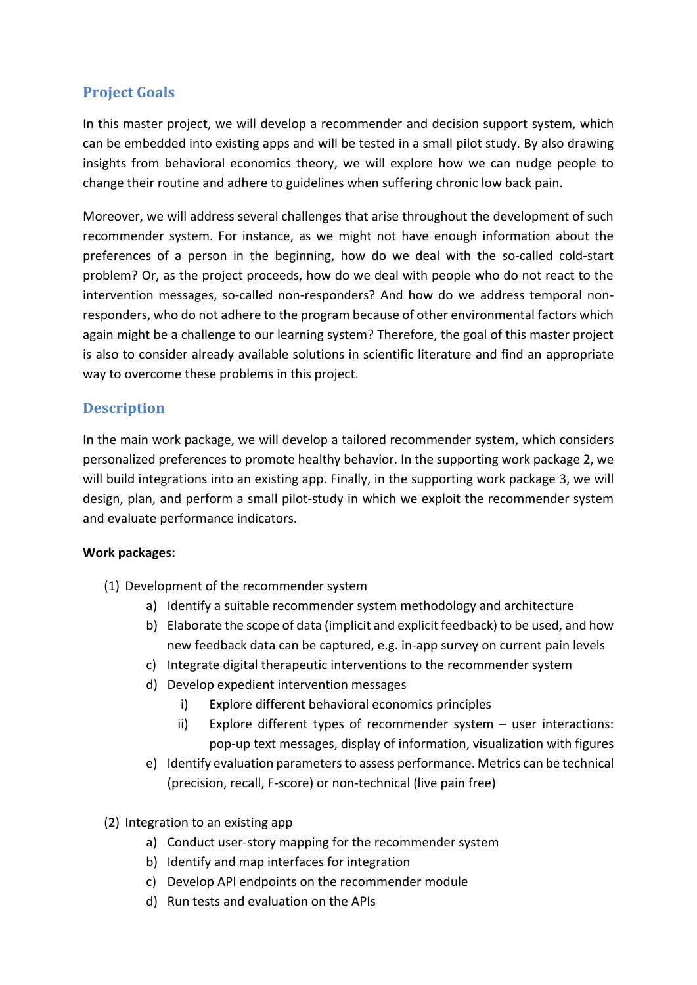## **Project Goals**

In this master project, we will develop a recommender and decision support system, which can be embedded into existing apps and will be tested in a small pilot study. By also drawing insights from behavioral economics theory, we will explore how we can nudge people to change their routine and adhere to guidelines when suffering chronic low back pain.

Moreover, we will address several challenges that arise throughout the development of such recommender system. For instance, as we might not have enough information about the preferences of a person in the beginning, how do we deal with the so-called cold-start problem? Or, as the project proceeds, how do we deal with people who do not react to the intervention messages, so-called non-responders? And how do we address temporal nonresponders, who do not adhere to the program because of other environmental factors which again might be a challenge to our learning system? Therefore, the goal of this master project is also to consider already available solutions in scientific literature and find an appropriate way to overcome these problems in this project.

# **Description**

In the main work package, we will develop a tailored recommender system, which considers personalized preferences to promote healthy behavior. In the supporting work package 2, we will build integrations into an existing app. Finally, in the supporting work package 3, we will design, plan, and perform a small pilot-study in which we exploit the recommender system and evaluate performance indicators.

#### **Work packages:**

- (1) Development of the recommender system
	- a) Identify a suitable recommender system methodology and architecture
	- b) Elaborate the scope of data (implicit and explicit feedback) to be used, and how new feedback data can be captured, e.g. in-app survey on current pain levels
	- c) Integrate digital therapeutic interventions to the recommender system
	- d) Develop expedient intervention messages
		- i) Explore different behavioral economics principles
		- ii) Explore different types of recommender system user interactions: pop-up text messages, display of information, visualization with figures
	- e) Identify evaluation parameters to assess performance. Metrics can be technical (precision, recall, F-score) or non-technical (live pain free)
- (2) Integration to an existing app
	- a) Conduct user-story mapping for the recommender system
	- b) Identify and map interfaces for integration
	- c) Develop API endpoints on the recommender module
	- d) Run tests and evaluation on the APIs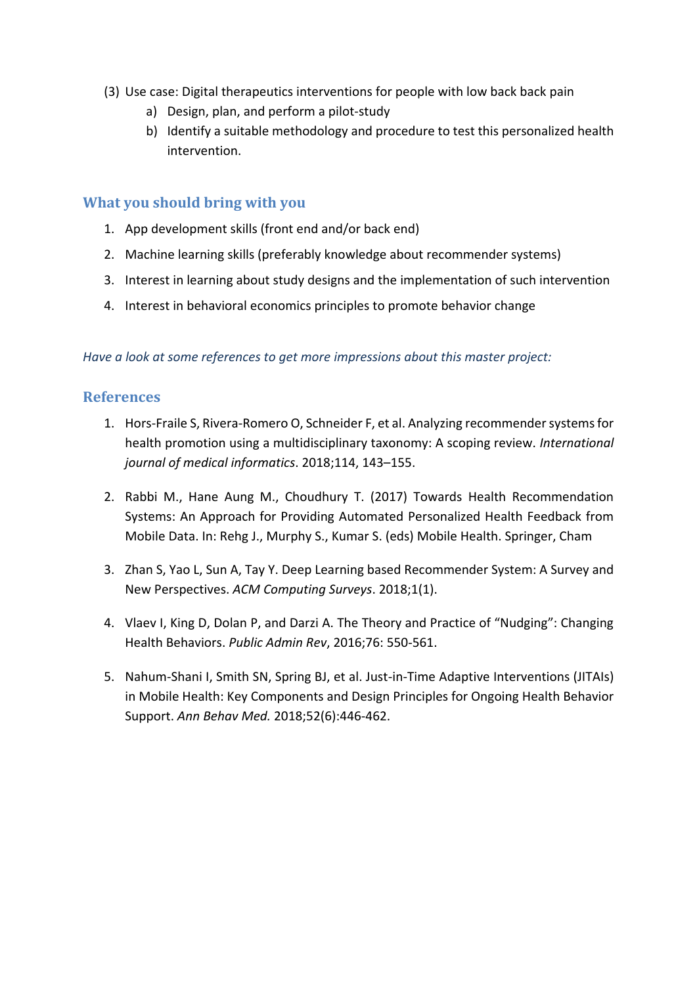- (3) Use case: Digital therapeutics interventions for people with low back back pain
	- a) Design, plan, and perform a pilot-study
	- b) Identify a suitable methodology and procedure to test this personalized health intervention.

#### **What you should bring with you**

- 1. App development skills (front end and/or back end)
- 2. Machine learning skills (preferably knowledge about recommender systems)
- 3. Interest in learning about study designs and the implementation of such intervention
- 4. Interest in behavioral economics principles to promote behavior change

#### *Have a look at some references to get more impressions about this master project:*

#### **References**

- 1. Hors-Fraile S, Rivera-Romero O, Schneider F, et al. Analyzing recommender systems for health promotion using a multidisciplinary taxonomy: A scoping review. *International journal of medical informatics*. 2018;114, 143–155.
- 2. Rabbi M., Hane Aung M., Choudhury T. (2017) Towards Health Recommendation Systems: An Approach for Providing Automated Personalized Health Feedback from Mobile Data. In: Rehg J., Murphy S., Kumar S. (eds) Mobile Health. Springer, Cham
- 3. Zhan S, Yao L, Sun A, Tay Y. Deep Learning based Recommender System: A Survey and New Perspectives. *ACM Computing Surveys*. 2018;1(1).
- 4. Vlaev I, King D, Dolan P, and Darzi A. The Theory and Practice of "Nudging": Changing Health Behaviors. *Public Admin Rev*, 2016;76: 550-561.
- 5. Nahum-Shani I, Smith SN, Spring BJ, et al. Just-in-Time Adaptive Interventions (JITAIs) in Mobile Health: Key Components and Design Principles for Ongoing Health Behavior Support. *Ann Behav Med.* 2018;52(6):446-462.